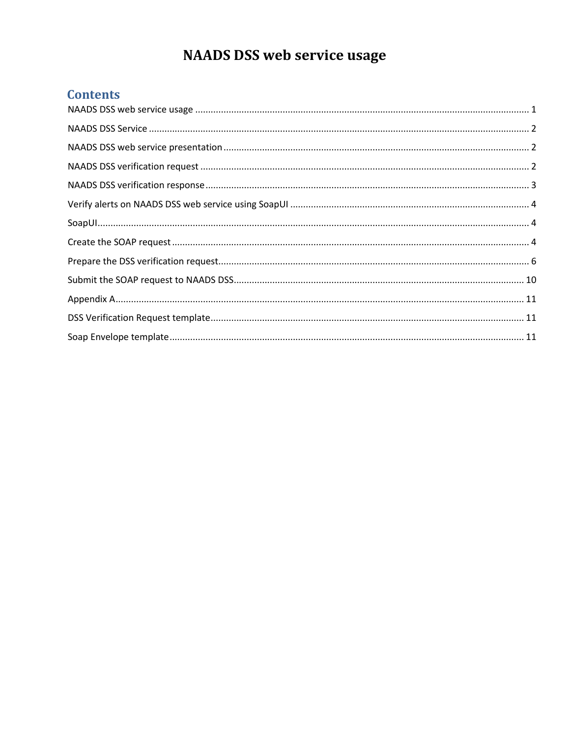# **NAADS DSS web service usage**

### <span id="page-0-0"></span>**Contents**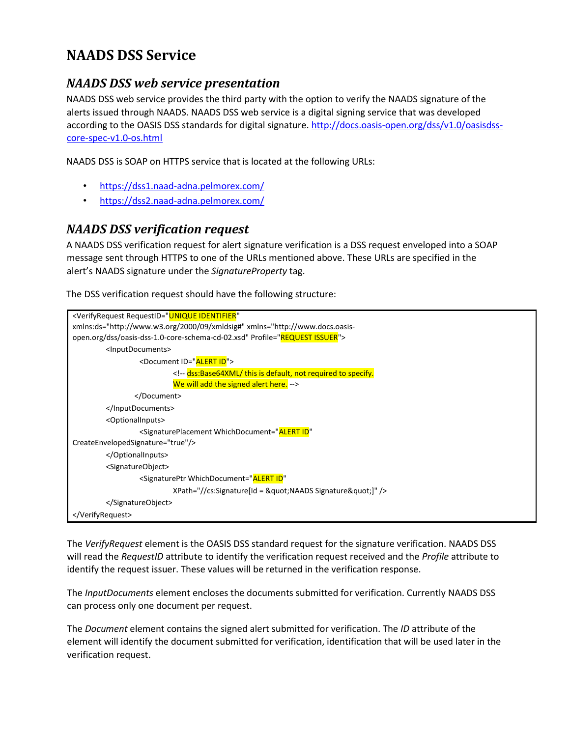## <span id="page-1-0"></span>**NAADS DSS Service**

#### <span id="page-1-1"></span>*NAADS DSS web service presentation*

NAADS DSS web service provides the third party with the option to verify the NAADS signature of the alerts issued through NAADS. NAADS DSS web service is a digital signing service that was developed according to the OASIS DSS standards for digital signature. http://docs.oasis-open.org/dss/v1.0/oasisdsscore-spec-v1.0-os.html

NAADS DSS is SOAP on HTTPS service that is located at the following URLs:

- https://dss1.naad-adna.pelmorex.com/
- https://dss2.naad-adna.pelmorex.com/

#### <span id="page-1-2"></span>*NAADS DSS verification request*

A NAADS DSS verification request for alert signature verification is a DSS request enveloped into a SOAP message sent through HTTPS to one of the URLs mentioned above. These URLs are specified in the alert's NAADS signature under the *SignatureProperty* tag.

The DSS verification request should have the following structure:

| <verifyrequest <="" requestid="UNIQUE IDENTIFIER" th=""></verifyrequest>                                     |
|--------------------------------------------------------------------------------------------------------------|
| xmlns:ds="http://www.w3.org/2000/09/xmldsig#" xmlns="http://www.docs.oasis-                                  |
| open.org/dss/oasis-dss-1.0-core-schema-cd-02.xsd" Profile="REQUEST ISSUER">                                  |
| <inputdocuments></inputdocuments>                                                                            |
| <document id="ALERT ID"></document>                                                                          |
| dss:Base64XML/ this is default, not required to specify.</td></tr><tr><td>We will add the signed alert here. |
|                                                                                                              |
|                                                                                                              |
| <optionalinputs></optionalinputs>                                                                            |
| <signatureplacement <="" td="" whichdocument="ALERT ID"></signatureplacement>                                |
| CreateEnvelopedSignature="true"/>                                                                            |
|                                                                                                              |
| <signatureobject></signatureobject>                                                                          |
| <signatureptr <="" td="" whichdocument="ALERT ID"></signatureptr>                                            |
| XPath="//cs:Signature[Id = "NAADS Signature"]" />                                                            |
|                                                                                                              |
|                                                                                                              |

The *VerifyRequest* element is the OASIS DSS standard request for the signature verification. NAADS DSS will read the *RequestID* attribute to identify the verification request received and the *Profile* attribute to identify the request issuer. These values will be returned in the verification response.

The *InputDocuments* element encloses the documents submitted for verification. Currently NAADS DSS can process only one document per request.

The *Document* element contains the signed alert submitted for verification. The *ID* attribute of the element will identify the document submitted for verification, identification that will be used later in the verification request.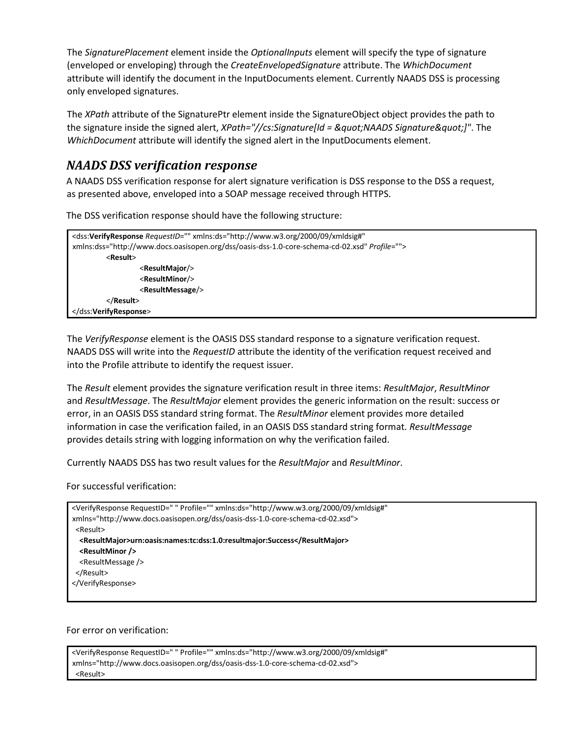The *SignaturePlacement* element inside the *OptionalInputs* element will specify the type of signature (enveloped or enveloping) through the *CreateEnvelopedSignature* attribute. The *WhichDocument* attribute will identify the document in the InputDocuments element. Currently NAADS DSS is processing only enveloped signatures.

The *XPath* attribute of the SignaturePtr element inside the SignatureObject object provides the path to the signature inside the signed alert, *XPath="//cs:Signature[Id = "NAADS Signature"]"*. The *WhichDocument* attribute will identify the signed alert in the InputDocuments element.

### <span id="page-2-0"></span>*NAADS DSS verification response*

A NAADS DSS verification response for alert signature verification is DSS response to the DSS a request, as presented above, enveloped into a SOAP message received through HTTPS.

The DSS verification response should have the following structure:

```
<dss:VerifyResponse RequestID="" xmlns:ds="http://www.w3.org/2000/09/xmldsig#" 
xmlns:dss="http://www.docs.oasisopen.org/dss/oasis-dss-1.0-core-schema-cd-02.xsd" Profile=""> 
         <Result> 
                  <ResultMajor/>
                  <ResultMinor/> 
                  <ResultMessage/> 
         </Result> 
</dss:VerifyResponse>
```
The *VerifyResponse* element is the OASIS DSS standard response to a signature verification request. NAADS DSS will write into the *RequestID* attribute the identity of the verification request received and into the Profile attribute to identify the request issuer.

The *Result* element provides the signature verification result in three items: *ResultMajor*, *ResultMinor* and *ResultMessage*. The *ResultMajor* element provides the generic information on the result: success or error, in an OASIS DSS standard string format. The *ResultMinor* element provides more detailed information in case the verification failed, in an OASIS DSS standard string format. *ResultMessage* provides details string with logging information on why the verification failed.

Currently NAADS DSS has two result values for the *ResultMajor* and *ResultMinor*.

For successful verification:

```
<VerifyResponse RequestID=" " Profile="" xmlns:ds="http://www.w3.org/2000/09/xmldsig#" 
xmlns="http://www.docs.oasisopen.org/dss/oasis-dss-1.0-core-schema-cd-02.xsd"> 
  <Result> 
   <ResultMajor>urn:oasis:names:tc:dss:1.0:resultmajor:Success</ResultMajor>
   <ResultMinor /> 
   <ResultMessage /> 
 </Result> 
</VerifyResponse>
```
#### For error on verification:

```
<VerifyResponse RequestID=" " Profile="" xmlns:ds="http://www.w3.org/2000/09/xmldsig#" 
xmlns="http://www.docs.oasisopen.org/dss/oasis-dss-1.0-core-schema-cd-02.xsd"> 
 <Result>
```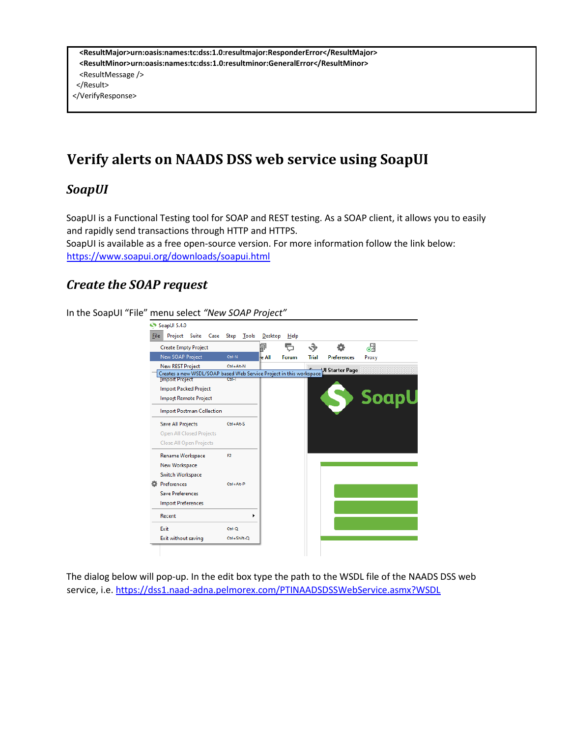**<ResultMajor>urn:oasis:names:tc:dss:1.0:resultmajor:ResponderError</ResultMajor> <ResultMinor>urn:oasis:names:tc:dss:1.0:resultminor:GeneralError</ResultMinor>**  <ResultMessage /> </Result> </VerifyResponse>

### <span id="page-3-0"></span>**Verify alerts on NAADS DSS web service using SoapUI**

#### <span id="page-3-1"></span>*SoapUI*

SoapUI is a Functional Testing tool for SOAP and REST testing. As a SOAP client, it allows you to easily and rapidly send transactions through HTTP and HTTPS.

SoapUI is available as a free open-source version. For more information follow the link below: https://www.soapui.org/downloads/soapui.html

#### <span id="page-3-2"></span>*Create the SOAP request*

In the SoapUI "File" menu select *"New SOAP Project"*



The dialog below will pop-up. In the edit box type the path to the WSDL file of the NAADS DSS web service, i.e. https://dss1.naad-adna.pelmorex.com/PTINAADSDSSWebService.asmx?WSDL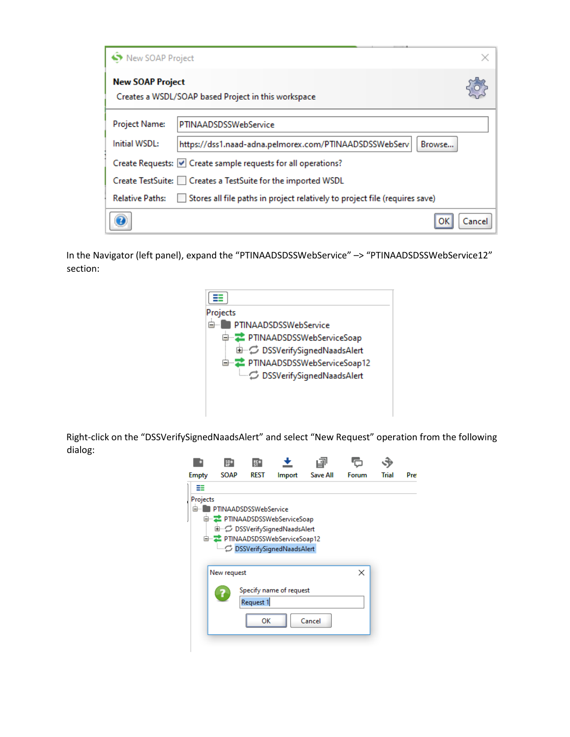| New SOAP Project        |                                                                                      |       |
|-------------------------|--------------------------------------------------------------------------------------|-------|
| <b>New SOAP Project</b> | Creates a WSDL/SOAP based Project in this workspace                                  |       |
| Project Name:           | PTINAADSDSSWebService                                                                |       |
| Initial WSDL:           | https://dss1.naad-adna.pelmorex.com/PTINAADSDSSWebServi<br>Browse                    |       |
|                         | Create Requests: $\vert \mathbf{v} \vert$ Create sample requests for all operations? |       |
|                         | Create TestSuite:     Creates a TestSuite for the imported WSDL                      |       |
| <b>Relative Paths:</b>  | Stores all file paths in project relatively to project file (requires save)          |       |
|                         |                                                                                      | Cance |

In the Navigator (left panel), expand the "PTINAADSDSSWebService" –> "PTINAADSDSSWebService12" section:



Right-click on the "DSSVerifySignedNaadsAlert" and select "New Request" operation from the following dialog:

| <b>Empty</b>   | <b>SOAP</b>           | <b>REST</b>     | Import                                                                                                                                | <b>Save All</b> | Forum | Trial | Pre |
|----------------|-----------------------|-----------------|---------------------------------------------------------------------------------------------------------------------------------------|-----------------|-------|-------|-----|
| ≡≡             |                       |                 |                                                                                                                                       |                 |       |       |     |
| Projects<br>Ė. | PTINAADSDSSWebService |                 | <b>□ こ</b> PTINAADSDSSWebServiceSoap<br>由 C DSSVerifySignedNaadsAlert<br>白…こ PTINAADSDSSWebServiceSoap12<br>DSSVerifySignedNaadsAlert |                 |       |       |     |
|                | New request           |                 | Specify name of request                                                                                                               |                 | ×     |       |     |
|                |                       | Request 1<br>ок |                                                                                                                                       | Cancel          |       |       |     |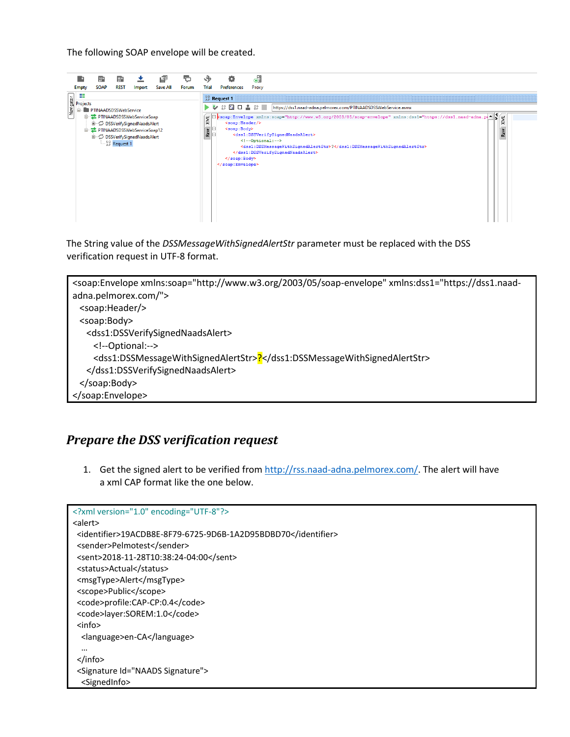The following SOAP envelope will be created.



The String value of the *DSSMessageWithSignedAlertStr* parameter must be replaced with the DSS verification request in UTF-8 format.



#### <span id="page-5-0"></span>*Prepare the DSS verification request*

1. Get the signed alert to be verified from [http://rss.naad-adna.pelmorex.com/.](http://rss.naad-adna.pelmorex.com/) The alert will have a xml CAP format like the one below.

```
<?xml version="1.0" encoding="UTF-8"?>
<alert>
  <identifier>19ACDB8E-8F79-6725-9D6B-1A2D95BDBD70</identifier>
 <sender>Pelmotest</sender>
 <sent>2018-11-28T10:38:24-04:00</sent>
 <status>Actual</status>
  <msgType>Alert</msgType>
  <scope>Public</scope>
  <code>profile:CAP-CP:0.4</code>
 <code>layer:SOREM:1.0</code>
  <info>
   <language>en-CA</language>
   …
  </info>
  <Signature Id="NAADS Signature">
   <SignedInfo>
```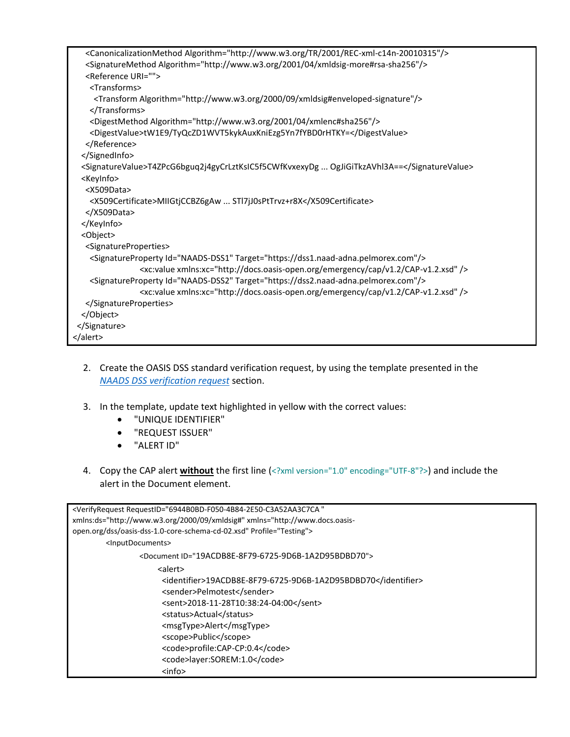| <canonicalizationmethod algorithm="http://www.w3.org/TR/2001/REC-xml-c14n-20010315"></canonicalizationmethod> |
|---------------------------------------------------------------------------------------------------------------|
| <signaturemethod algorithm="http://www.w3.org/2001/04/xmldsig-more#rsa-sha256"></signaturemethod>             |
| <reference uri=""></reference>                                                                                |
| <transforms></transforms>                                                                                     |
| <transform algorithm="http://www.w3.org/2000/09/xmldsig#enveloped-signature"></transform>                     |
|                                                                                                               |
| <digestmethod algorithm="http://www.w3.org/2001/04/xmlenc#sha256"></digestmethod>                             |
| <digestvalue>tW1E9/TyQcZD1WVT5kykAuxKniEzg5Yn7fYBD0rHTKY=</digestvalue>                                       |
|                                                                                                               |
|                                                                                                               |
| <signaturevalue>T4ZPcG6bguq2j4gyCrLztKsIC5f5CWfKvxexyDg  OgJiGiTkzAVhl3A==</signaturevalue>                   |
| <keyinfo></keyinfo>                                                                                           |
| <x509data></x509data>                                                                                         |
| <x509certificate>MIIGtiCCBZ6gAw  STl7jJ0sPtTrvz+r8X</x509certificate>                                         |
|                                                                                                               |
|                                                                                                               |
| <object></object>                                                                                             |
| <signatureproperties></signatureproperties>                                                                   |
| <signatureproperty id="NAADS-DSS1" target="https://dss1.naad-adna.pelmorex.com"></signatureproperty>          |
| <xc:value xmlns:xc="http://docs.oasis-open.org/emergency/cap/v1.2/CAP-v1.2.xsd"></xc:value>                   |
| <signatureproperty id="NAADS-DSS2" target="https://dss2.naad-adna.pelmorex.com"></signatureproperty>          |
| <xc:value xmlns:xc="http://docs.oasis-open.org/emergency/cap/v1.2/CAP-v1.2.xsd"></xc:value>                   |
|                                                                                                               |
|                                                                                                               |
|                                                                                                               |
|                                                                                                               |
|                                                                                                               |

- 2. Create the OASIS DSS standard verification request, by using the template presented in the *[NAADS DSS verification request](#page-1-2)* section.
- 3. In the template, update text highlighted in yellow with the correct values:
	- "UNIQUE IDENTIFIER"
	- "REQUEST ISSUER"
	- "ALERT ID"
- 4. Copy the CAP alert **without** the first line (<?xml version="1.0" encoding="UTF-8"?>) and include the alert in the Document element.

| <verifyrequest <="" requestid="6944B0BD-F050-4B84-2E50-C3A52AA3C7CA" th=""></verifyrequest> |
|---------------------------------------------------------------------------------------------|
| xmlns:ds="http://www.w3.org/2000/09/xmldsig#" xmlns="http://www.docs.oasis-                 |
| open.org/dss/oasis-dss-1.0-core-schema-cd-02.xsd" Profile="Testing">                        |
| <inputdocuments></inputdocuments>                                                           |
| <document id="19ACDB8E-8F79-6725-9D6B-1A2D95BDBD70"></document>                             |
| <alert></alert>                                                                             |
| <identifier>19ACDB8E-8F79-6725-9D6B-1A2D95BDBD70</identifier>                               |
| <sender>Pelmotest</sender>                                                                  |
| <sent>2018-11-28T10:38:24-04:00</sent>                                                      |
| <status>Actual</status>                                                                     |
| <msgtype>Alert</msgtype>                                                                    |
| <scope>Public</scope>                                                                       |
| <code>profile:CAP-CP:0.4</code>                                                             |
| <code>layer:SOREM:1.0</code>                                                                |
| $info$                                                                                      |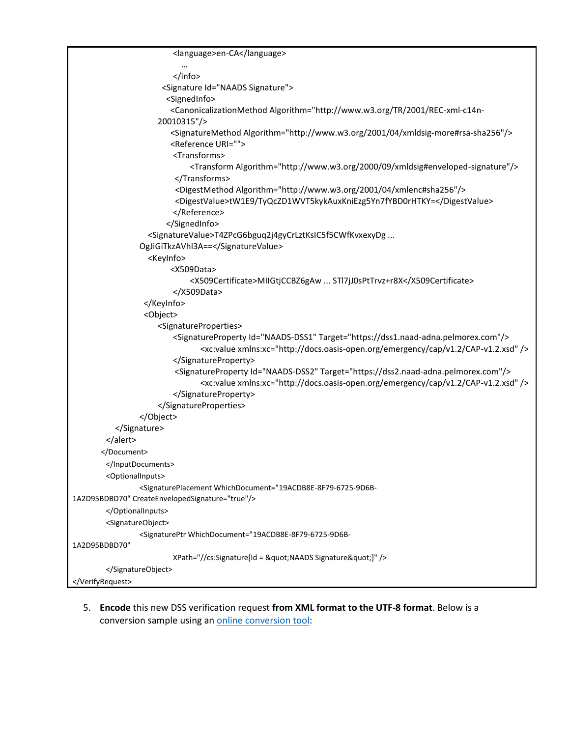```
<language>en-CA</language>
                            …
                        </info>
                       <Signature Id="NAADS Signature">
                        <SignedInfo>
                         <CanonicalizationMethod Algorithm="http://www.w3.org/TR/2001/REC-xml-c14n-
                     20010315"/>
                         <SignatureMethod Algorithm="http://www.w3.org/2001/04/xmldsig-more#rsa-sha256"/>
                         <Reference URI="">
                        <Transforms>
                              <Transform Algorithm="http://www.w3.org/2000/09/xmldsig#enveloped-signature"/>
                          </Transforms>
                         <DigestMethod Algorithm="http://www.w3.org/2001/04/xmlenc#sha256"/>
                         <DigestValue>tW1E9/TyQcZD1WVT5kykAuxKniEzg5Yn7fYBD0rHTKY=</DigestValue>
                        </Reference>
                        </SignedInfo>
                   <SignatureValue>T4ZPcG6bguq2j4gyCrLztKsIC5f5CWfKvxexyDg ... 
                OgJiGiTkzAVhl3A==</SignatureValue>
                   <KeyInfo>
                         <X509Data>
                              <X509Certificate>MIIGtjCCBZ6gAw ... STl7jJ0sPtTrvz+r8X</X509Certificate>
                        </X509Data>
                  </KeyInfo>
                  <Object>
                     <SignatureProperties>
                        <SignatureProperty Id="NAADS-DSS1" Target="https://dss1.naad-adna.pelmorex.com"/>
                               <xc:value xmlns:xc="http://docs.oasis-open.org/emergency/cap/v1.2/CAP-v1.2.xsd" />
                        </SignatureProperty>
                          <SignatureProperty Id="NAADS-DSS2" Target="https://dss2.naad-adna.pelmorex.com"/>
                               <xc:value xmlns:xc="http://docs.oasis-open.org/emergency/cap/v1.2/CAP-v1.2.xsd" />
                        </SignatureProperty>
                     </SignatureProperties>
                </Object>
          </Signature>
        </alert>
        </Document>
        </InputDocuments>
        <OptionalInputs>
                <SignaturePlacement WhichDocument="19ACDB8E-8F79-6725-9D6B-
1A2D95BDBD70" CreateEnvelopedSignature="true"/>
        </OptionalInputs>
        <SignatureObject>
                <SignaturePtr WhichDocument="19ACDB8E-8F79-6725-9D6B-
1A2D95BDBD70"
                        XPath="//cs:Signature[Id = "NAADS Signature"]" />
        </SignatureObject>
</VerifyRequest>
```
5. **Encode** this new DSS verification request **from XML format to the UTF-8 format**. Below is a conversion sample using an [online conversion tool:](https://coderstoolbox.net/string/#!encoding=xml&action=encode&charset=utf_8)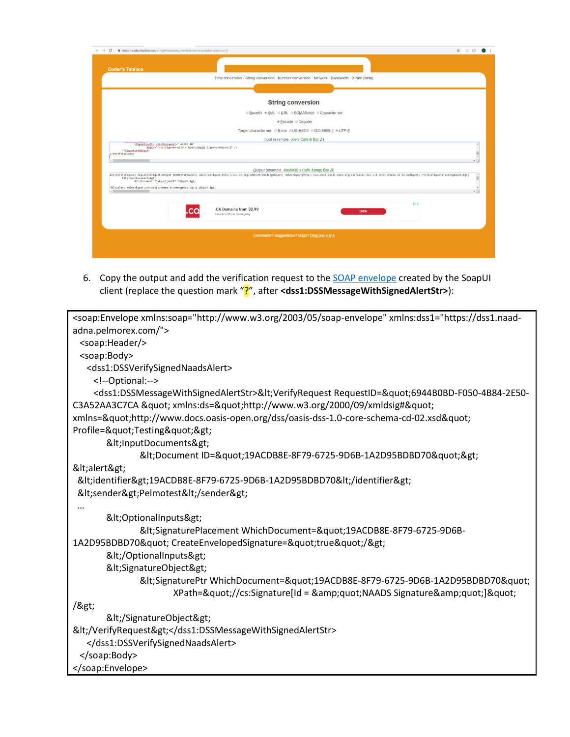| <b>Coder's Toolbox</b><br>Time conversion · String conversion · Number conversion · Network · Bandwidth · XPath (beta)<br><b>String conversion</b><br>© Base64 ® XML © URL © ECMAScript © Character set<br>® Encode © Decode<br>Target character set: © None © US-ASCII © ISO-8859-1 ® UTF-8<br>Input (example: Joe's Café & Bar 0)<br><signatureptr alert="" id"<br="" whichdocument-"="">XPath="//cs:Signature[Id = " NAADS Signature"]" /&gt;<br/><br/><br/>Output (example: Joe's Café &amp; Bar (1)<br/>Alt;VerifyRequest RequestID=Aquot;UNIQUE IDENTIFIERAquot; xmlns:ds=Aquot;http://www.w3.org/2000/09/xmldsig#Aquot; xmlns=Aquot;http://www.docs.oasis-open.org/dss/oasis-dss-dss-dss-dss-ds-ds-a-1.0-core-schema-cd-02.xsdAquot;<br/><math display="inline">\hat{\mathbb{I}}</math><br/><inputdocuments><br/><document id"="" id-"alert=""><br/>-<alert xmlns="urn:oasis:names:tc:emergency:cap:1.2"><br/><math>\leftarrow</math><br/><b>b</b> x<br/>.CA Domains from \$0.99<br/><b>OPEN</b><br/>Canada's Official .CA Registry<br/>Comments? Suggestions? Bugs? Drop me a line</alert></document></inputdocuments></signatureptr> | https://coderstoolbox.net/string/#lencoding=xml&action=encode&charset=utf_8<br>C<br>$\rightarrow$ | $\qquad \qquad \hat{r} \qquad \circ \qquad \circ \qquad \bullet \qquad \vdots$ |
|-----------------------------------------------------------------------------------------------------------------------------------------------------------------------------------------------------------------------------------------------------------------------------------------------------------------------------------------------------------------------------------------------------------------------------------------------------------------------------------------------------------------------------------------------------------------------------------------------------------------------------------------------------------------------------------------------------------------------------------------------------------------------------------------------------------------------------------------------------------------------------------------------------------------------------------------------------------------------------------------------------------------------------------------------------------------------------------------------------------------------------------------------|---------------------------------------------------------------------------------------------------|--------------------------------------------------------------------------------|
|                                                                                                                                                                                                                                                                                                                                                                                                                                                                                                                                                                                                                                                                                                                                                                                                                                                                                                                                                                                                                                                                                                                                               |                                                                                                   |                                                                                |
|                                                                                                                                                                                                                                                                                                                                                                                                                                                                                                                                                                                                                                                                                                                                                                                                                                                                                                                                                                                                                                                                                                                                               |                                                                                                   |                                                                                |
|                                                                                                                                                                                                                                                                                                                                                                                                                                                                                                                                                                                                                                                                                                                                                                                                                                                                                                                                                                                                                                                                                                                                               |                                                                                                   |                                                                                |
|                                                                                                                                                                                                                                                                                                                                                                                                                                                                                                                                                                                                                                                                                                                                                                                                                                                                                                                                                                                                                                                                                                                                               |                                                                                                   |                                                                                |
|                                                                                                                                                                                                                                                                                                                                                                                                                                                                                                                                                                                                                                                                                                                                                                                                                                                                                                                                                                                                                                                                                                                                               |                                                                                                   |                                                                                |
|                                                                                                                                                                                                                                                                                                                                                                                                                                                                                                                                                                                                                                                                                                                                                                                                                                                                                                                                                                                                                                                                                                                                               |                                                                                                   |                                                                                |
|                                                                                                                                                                                                                                                                                                                                                                                                                                                                                                                                                                                                                                                                                                                                                                                                                                                                                                                                                                                                                                                                                                                                               |                                                                                                   |                                                                                |
|                                                                                                                                                                                                                                                                                                                                                                                                                                                                                                                                                                                                                                                                                                                                                                                                                                                                                                                                                                                                                                                                                                                                               |                                                                                                   |                                                                                |
|                                                                                                                                                                                                                                                                                                                                                                                                                                                                                                                                                                                                                                                                                                                                                                                                                                                                                                                                                                                                                                                                                                                                               |                                                                                                   |                                                                                |
|                                                                                                                                                                                                                                                                                                                                                                                                                                                                                                                                                                                                                                                                                                                                                                                                                                                                                                                                                                                                                                                                                                                                               |                                                                                                   |                                                                                |
|                                                                                                                                                                                                                                                                                                                                                                                                                                                                                                                                                                                                                                                                                                                                                                                                                                                                                                                                                                                                                                                                                                                                               |                                                                                                   |                                                                                |
|                                                                                                                                                                                                                                                                                                                                                                                                                                                                                                                                                                                                                                                                                                                                                                                                                                                                                                                                                                                                                                                                                                                                               |                                                                                                   |                                                                                |
|                                                                                                                                                                                                                                                                                                                                                                                                                                                                                                                                                                                                                                                                                                                                                                                                                                                                                                                                                                                                                                                                                                                                               |                                                                                                   |                                                                                |
|                                                                                                                                                                                                                                                                                                                                                                                                                                                                                                                                                                                                                                                                                                                                                                                                                                                                                                                                                                                                                                                                                                                                               |                                                                                                   |                                                                                |
|                                                                                                                                                                                                                                                                                                                                                                                                                                                                                                                                                                                                                                                                                                                                                                                                                                                                                                                                                                                                                                                                                                                                               |                                                                                                   |                                                                                |

6. Copy the output and add the verification request to th[e SOAP envelope](#page-3-2) created by the SoapUI client (replace the question mark "?", after **<dss1:DSSMessageWithSignedAlertStr>**):

```
<soap:Envelope xmlns:soap="http://www.w3.org/2003/05/soap-envelope" xmlns:dss1="https://dss1.naad-
adna.pelmorex.com/">
  <soap:Header/>
  <soap:Body>
   <dss1:DSSVerifySignedNaadsAlert>
     <!--Optional:-->
    <dss1:DSSMessageWithSignedAlertStr>&lt;VerifyRequest RequestID=&quot;6944B0BD-F050-4B84-2E50-
C3A52AA3C7CA " xmlns:ds="http://www.w3.org/2000/09/xmldsig#"
xmlns="http://www.docs.oasis-open.org/dss/oasis-dss-1.0-core-schema-cd-02.xsd"
Profile="Testing">
      &It;InputDocuments>
             <Document ID=&quot;19ACDB8E-8F79-6725-9D6B-1A2D95BDBD70&quot;&gt;
<alert&gt;
<identifier&gt;19ACDB8E-8F79-6725-9D6B-1A2D95BDBD70&lt;/identifier&gt;
&It;sender>Pelmotest&It;/sender>
 … 
      <OptionalInputs&gt;
             <SignaturePlacement WhichDocument=&quot;19ACDB8E-8F79-6725-9D6B-
1A2D95BDBD70" CreateEnvelopedSignature="true"/>
      </OptionalInputs&gt;
      &It;SignatureObject>
             <SignaturePtr WhichDocument=&quot;19ACDB8E-8F79-6725-9D6B-1A2D95BDBD70&quot;
                   XPath="//cs:Signature[Id = "NAADS Signature"]"
/>
      </SignatureObject&gt;
&lt;/VerifyRequest&gt;</dss1:DSSMessageWithSignedAlertStr>
   </dss1:DSSVerifySignedNaadsAlert>
  </soap:Body>
</soap:Envelope>
```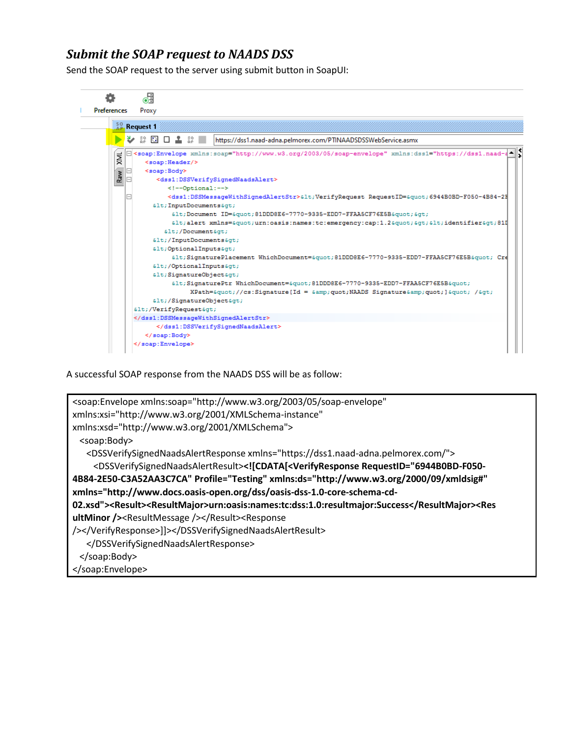#### <span id="page-9-0"></span>*Submit the SOAP request to NAADS DSS*

Send the SOAP request to the server using submit button in SoapUI:



A successful SOAP response from the NAADS DSS will be as follow:

```
<soap:Envelope xmlns:soap="http://www.w3.org/2003/05/soap-envelope" 
xmlns:xsi="http://www.w3.org/2001/XMLSchema-instance" 
xmlns:xsd="http://www.w3.org/2001/XMLSchema">
  <soap:Body>
    <DSSVerifySignedNaadsAlertResponse xmlns="https://dss1.naad-adna.pelmorex.com/">
     <DSSVerifySignedNaadsAlertResult><![CDATA[<VerifyResponse RequestID="6944B0BD-F050-
4B84-2E50-C3A52AA3C7CA" Profile="Testing" xmlns:ds="http://www.w3.org/2000/09/xmldsig#" 
xmlns="http://www.docs.oasis-open.org/dss/oasis-dss-1.0-core-schema-cd-
02.xsd"><Result><ResultMajor>urn:oasis:names:tc:dss:1.0:resultmajor:Success</ResultMajor><Res
ultMinor /><ResultMessage /></Result><Response 
/></VerifyResponse>]]></DSSVerifySignedNaadsAlertResult>
    </DSSVerifySignedNaadsAlertResponse>
  </soap:Body>
</soap:Envelope>
```